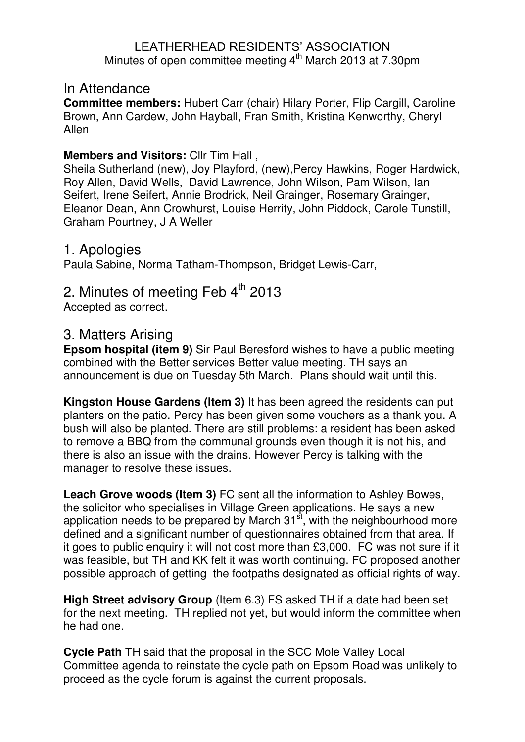#### LEATHERHEAD RESIDENTS' ASSOCIATION Minutes of open committee meeting  $4<sup>th</sup>$  March 2013 at 7.30pm

#### In Attendance

**Committee members:** Hubert Carr (chair) Hilary Porter, Flip Cargill, Caroline Brown, Ann Cardew, John Hayball, Fran Smith, Kristina Kenworthy, Cheryl Allen

#### **Members and Visitors:** Cllr Tim Hall ,

Sheila Sutherland (new), Joy Playford, (new),Percy Hawkins, Roger Hardwick, Roy Allen, David Wells, David Lawrence, John Wilson, Pam Wilson, Ian Seifert, Irene Seifert, Annie Brodrick, Neil Grainger, Rosemary Grainger, Eleanor Dean, Ann Crowhurst, Louise Herrity, John Piddock, Carole Tunstill, Graham Pourtney, J A Weller

#### 1. Apologies

Paula Sabine, Norma Tatham-Thompson, Bridget Lewis-Carr,

# 2. Minutes of meeting Feb  $4<sup>th</sup>$  2013

Accepted as correct.

# 3. Matters Arising

**Epsom hospital (item 9)** Sir Paul Beresford wishes to have a public meeting combined with the Better services Better value meeting. TH says an announcement is due on Tuesday 5th March. Plans should wait until this.

**Kingston House Gardens (Item 3)** It has been agreed the residents can put planters on the patio. Percy has been given some vouchers as a thank you. A bush will also be planted. There are still problems: a resident has been asked to remove a BBQ from the communal grounds even though it is not his, and there is also an issue with the drains. However Percy is talking with the manager to resolve these issues.

**Leach Grove woods (Item 3)** FC sent all the information to Ashley Bowes, the solicitor who specialises in Village Green applications. He says a new application needs to be prepared by March 31<sup>st</sup>, with the neighbourhood more defined and a significant number of questionnaires obtained from that area. If it goes to public enquiry it will not cost more than £3,000. FC was not sure if it was feasible, but TH and KK felt it was worth continuing. FC proposed another possible approach of getting the footpaths designated as official rights of way.

**High Street advisory Group** (Item 6.3) FS asked TH if a date had been set for the next meeting. TH replied not yet, but would inform the committee when he had one.

**Cycle Path** TH said that the proposal in the SCC Mole Valley Local Committee agenda to reinstate the cycle path on Epsom Road was unlikely to proceed as the cycle forum is against the current proposals.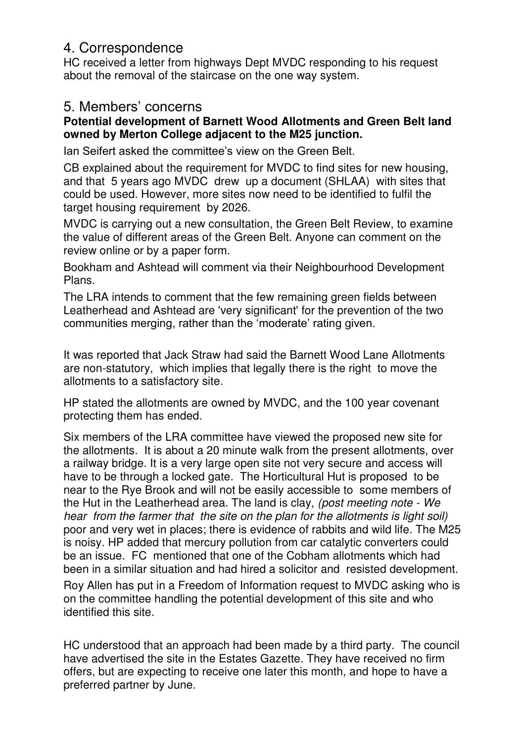# 4. Correspondence

HC received a letter from highways Dept MVDC responding to his request about the removal of the staircase on the one way system.

# 5. Members' concerns

#### **Potential development of Barnett Wood Allotments and Green Belt land owned by Merton College adjacent to the M25 junction.**

Ian Seifert asked the committee's view on the Green Belt.

CB explained about the requirement for MVDC to find sites for new housing, and that 5 years ago MVDC drew up a document (SHLAA) with sites that could be used. However, more sites now need to be identified to fulfil the target housing requirement by 2026.

MVDC is carrying out a new consultation, the Green Belt Review, to examine the value of different areas of the Green Belt. Anyone can comment on the review online or by a paper form.

Bookham and Ashtead will comment via their Neighbourhood Development Plans.

The LRA intends to comment that the few remaining green fields between Leatherhead and Ashtead are 'very significant' for the prevention of the two communities merging, rather than the 'moderate' rating given.

It was reported that Jack Straw had said the Barnett Wood Lane Allotments are non-statutory, which implies that legally there is the right to move the allotments to a satisfactory site.

HP stated the allotments are owned by MVDC, and the 100 year covenant protecting them has ended.

Six members of the LRA committee have viewed the proposed new site for the allotments. It is about a 20 minute walk from the present allotments, over a railway bridge. It is a very large open site not very secure and access will have to be through a locked gate. The Horticultural Hut is proposed to be near to the Rye Brook and will not be easily accessible to some members of the Hut in the Leatherhead area. The land is clay, *(post meeting note - We hear from the farmer that the site on the plan for the allotments is light soil)* poor and very wet in places; there is evidence of rabbits and wild life. The M25 is noisy. HP added that mercury pollution from car catalytic converters could be an issue. FC mentioned that one of the Cobham allotments which had been in a similar situation and had hired a solicitor and resisted development.

Roy Allen has put in a Freedom of Information request to MVDC asking who is on the committee handling the potential development of this site and who identified this site.

HC understood that an approach had been made by a third party. The council have advertised the site in the Estates Gazette. They have received no firm offers, but are expecting to receive one later this month, and hope to have a preferred partner by June.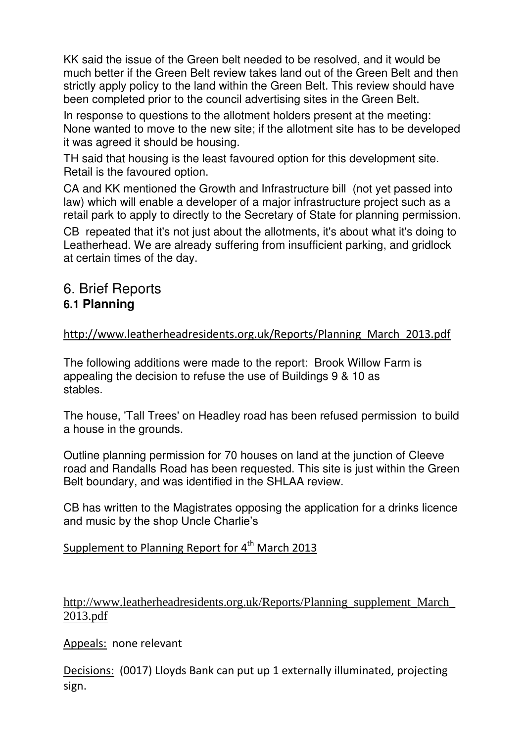KK said the issue of the Green belt needed to be resolved, and it would be much better if the Green Belt review takes land out of the Green Belt and then strictly apply policy to the land within the Green Belt. This review should have been completed prior to the council advertising sites in the Green Belt.

In response to questions to the allotment holders present at the meeting: None wanted to move to the new site; if the allotment site has to be developed it was agreed it should be housing.

TH said that housing is the least favoured option for this development site. Retail is the favoured option.

CA and KK mentioned the Growth and Infrastructure bill (not yet passed into law) which will enable a developer of a major infrastructure project such as a retail park to apply to directly to the Secretary of State for planning permission.

CB repeated that it's not just about the allotments, it's about what it's doing to Leatherhead. We are already suffering from insufficient parking, and gridlock at certain times of the day.

# 6. Brief Reports **6.1 Planning**

#### [http://www.leatherheadresidents.org.uk/Reports/Planning\\_March\\_2013.pdf](http://www.leatherheadresidents.org.uk/Reports/Planning_March_2013.pdf)

The following additions were made to the report: Brook Willow Farm is appealing the decision to refuse the use of Buildings 9 & 10 as stables.

The house, 'Tall Trees' on Headley road has been refused permission to build a house in the grounds.

Outline planning permission for 70 houses on land at the junction of Cleeve road and Randalls Road has been requested. This site is just within the Green Belt boundary, and was identified in the SHLAA review.

CB has written to the Magistrates opposing the application for a drinks licence and music by the shop Uncle Charlie's

### Supplement to Planning Report for  $4<sup>th</sup>$  March 2013

http://www.leatherheadresidents.org.uk/Reports/Planning\_supplement\_March\_ 2013.pdf

Appeals: none relevant

Decisions: (0017) Lloyds Bank can put up 1 externally illuminated, projecting sign.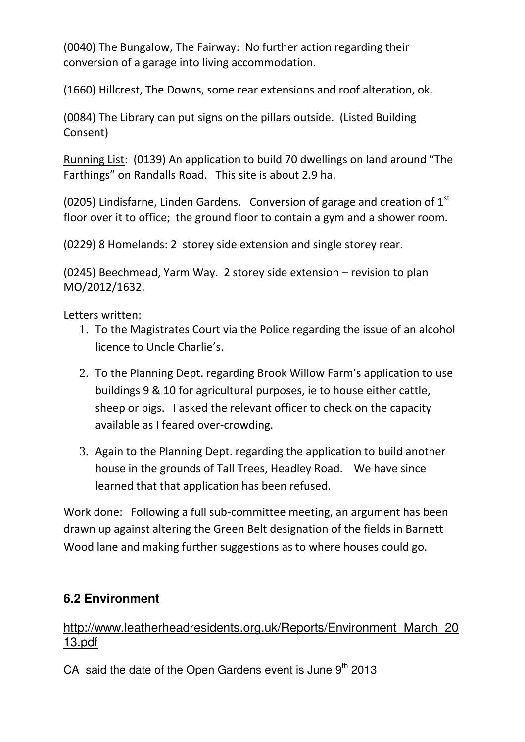(0040) The Bungalow, The Fairway: No further action regarding their conversion of a garage into living accommodation.

(1660) Hillcrest, The Downs, some rear extensions and roof alteration, ok.

(0084) The Library can put signs on the pillars outside. (Listed Building Consent)

Running List: (0139) An application to build 70 dwellings on land around "The Farthings" on Randalls Road. This site is about 2.9 ha.

(0205) Lindisfarne, Linden Gardens. Conversion of garage and creation of  $1<sup>st</sup>$ floor over it to office; the ground floor to contain a gym and a shower room.

(0229) 8 Homelands: 2 storey side extension and single storey rear.

(0245) Beechmead, Yarm Way. 2 storey side extension – revision to plan MO/2012/1632.

Letters written:

- 1. To the Magistrates Court via the Police regarding the issue of an alcohol licence to Uncle Charlie's.
- 2. To the Planning Dept. regarding Brook Willow Farm's application to use buildings 9 & 10 for agricultural purposes, ie to house either cattle, sheep or pigs. I asked the relevant officer to check on the capacity available as I feared over-crowding.
- 3. Again to the Planning Dept. regarding the application to build another house in the grounds of Tall Trees, Headley Road. We have since learned that that application has been refused.

Work done: Following a full sub-committee meeting, an argument has been drawn up against altering the Green Belt designation of the fields in Barnett Wood lane and making further suggestions as to where houses could go.

# **6.2 Environment**

#### [http://www.leatherheadresidents.org.uk/Reports/Environment\\_March\\_20](http://www.leatherheadresidents.org.uk/Reports/Environment_March_2013.pdf) [13.pdf](http://www.leatherheadresidents.org.uk/Reports/Environment_March_2013.pdf)

CA said the date of the Open Gardens event is June  $9<sup>th</sup>$  2013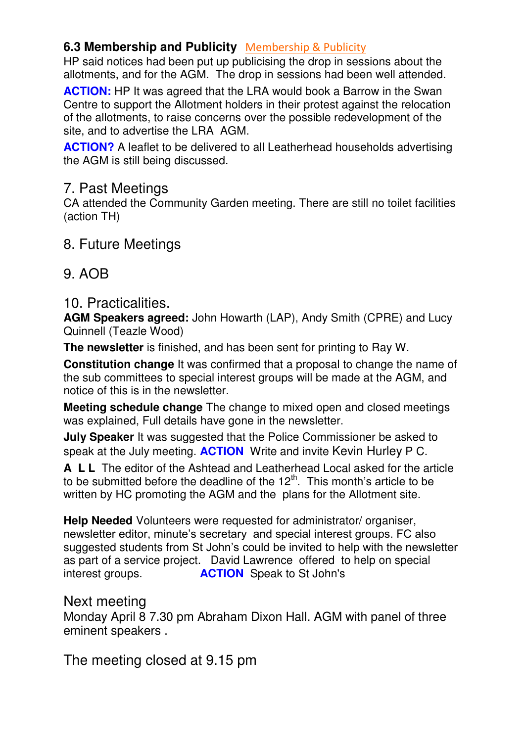#### **6.3 Membership and Publicity** [Membership & Publicity](http://www.leatherheadresidents.org.uk/Reports/Membership_March_2013.pdf)

HP said notices had been put up publicising the drop in sessions about the allotments, and for the AGM. The drop in sessions had been well attended.

**ACTION:** HP It was agreed that the LRA would book a Barrow in the Swan Centre to support the Allotment holders in their protest against the relocation of the allotments, to raise concerns over the possible redevelopment of the site, and to advertise the LRA AGM.

**ACTION?** A leaflet to be delivered to all Leatherhead households advertising the AGM is still being discussed.

#### 7. Past Meetings

CA attended the Community Garden meeting. There are still no toilet facilities (action TH)

# 8. Future Meetings

# 9. AOB

# 10. Practicalities.

**AGM Speakers agreed:** John Howarth (LAP), Andy Smith (CPRE) and Lucy Quinnell (Teazle Wood)

**The newsletter** is finished, and has been sent for printing to Ray W.

**Constitution change** It was confirmed that a proposal to change the name of the sub committees to special interest groups will be made at the AGM, and notice of this is in the newsletter.

**Meeting schedule change** The change to mixed open and closed meetings was explained, Full details have gone in the newsletter.

**July Speaker** It was suggested that the Police Commissioner be asked to speak at the July meeting. **ACTION** Write and invite Kevin Hurley P C.

**A L L** The editor of the Ashtead and Leatherhead Local asked for the article to be submitted before the deadline of the  $12<sup>th</sup>$ . This month's article to be written by HC promoting the AGM and the plans for the Allotment site.

**Help Needed** Volunteers were requested for administrator/ organiser, newsletter editor, minute's secretary and special interest groups. FC also suggested students from St John's could be invited to help with the newsletter as part of a service project. David Lawrence offered to help on special interest groups. **ACTION** Speak to St John's

### Next meeting

Monday April 8 7.30 pm Abraham Dixon Hall. AGM with panel of three eminent speakers .

The meeting closed at 9.15 pm